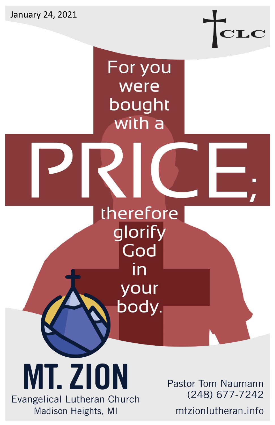January 24, 2021



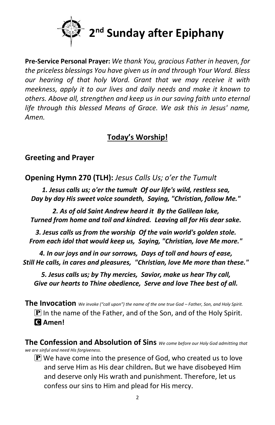

**Pre-Service Personal Prayer:** *We thank You, gracious Father in heaven, for the priceless blessings You have given us in and through Your Word. Bless our hearing of that holy Word. Grant that we may receive it with meekness, apply it to our lives and daily needs and make it known to others. Above all, strengthen and keep us in our saving faith unto eternal life through this blessed Means of Grace. We ask this in Jesus' name, Amen.*

# **Today's Worship!**

## **Greeting and Prayer**

**Opening Hymn 270 (TLH):** *Jesus Calls Us; o'er the Tumult*

*1. Jesus calls us; o'er the tumult Of our life's wild, restless sea, Day by day His sweet voice soundeth, Saying, "Christian, follow Me."*

*2. As of old Saint Andrew heard it By the Galilean lake, Turned from home and toil and kindred. Leaving all for His dear sake.*

*3. Jesus calls us from the worship Of the vain world's golden stole. From each idol that would keep us, Saying, "Christian, love Me more."*

*4. In our joys and in our sorrows, Days of toll and hours of ease, Still He calls, in cares and pleasures, "Christian, love Me more than these."*

*5. Jesus calls us; by Thy mercies, Savior, make us hear Thy call, Give our hearts to Thine obedience, Serve and love Thee best of all.*

**The Invocation** *We invoke ("call upon") the name of the one true God – Father, Son, and Holy Spirit.*  $\mathbf P$  In the name of the Father, and of the Son, and of the Holy Spirit. C **Amen!** 

**The Confession and Absolution of Sins** *We come before our Holy God admitting that we are sinful and need His forgiveness.*

 $\left| \mathbf{P} \right|$  We have come into the presence of God, who created us to love and serve Him as His dear children**.** But we have disobeyed Him and deserve only His wrath and punishment. Therefore, let us confess our sins to Him and plead for His mercy.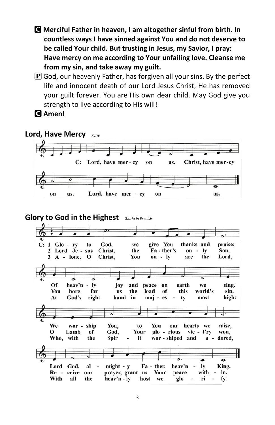- C **Merciful Father in heaven, I am altogether sinful from birth. In countless ways I have sinned against You and do not deserve to be called Your child. But trusting in Jesus, my Savior, I pray: Have mercy on me according to Your unfailing love. Cleanse me from my sin, and take away my guilt.**
- $\bf{P}$  God, our heavenly Father, has forgiven all your sins. By the perfect life and innocent death of our Lord Jesus Christ, He has removed your guilt forever. You are His own dear child. May God give you strength to live according to His will!



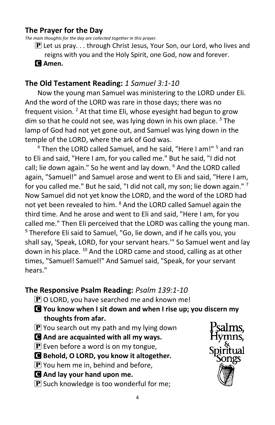## **The Prayer for the Day**

*The main thoughts for the day are collected together in this prayer.*

 $\bf{P}$  Let us pray... through Christ Jesus, Your Son, our Lord, who lives and reigns with you and the Holy Spirit, one God, now and forever.

### C **Amen.**

## **The Old Testament Reading:** *1 Samuel 3:1-10*

Now the young man Samuel was ministering to the LORD under Eli. And the word of the LORD was rare in those days; there was no frequent vision. <sup>2</sup> At that time Eli, whose eyesight had begun to grow dim so that he could not see, was lying down in his own place.  $3$  The lamp of God had not yet gone out, and Samuel was lying down in the temple of the LORD, where the ark of God was.

<sup>4</sup> Then the LORD called Samuel, and he said, "Here I am!" <sup>5</sup> and ran to Eli and said, "Here I am, for you called me." But he said, "I did not call; lie down again." So he went and lay down. <sup>6</sup> And the LORD called again, "Samuel!" and Samuel arose and went to Eli and said, "Here I am, for you called me." But he said, "I did not call, my son; lie down again." <sup>7</sup> Now Samuel did not yet know the LORD, and the word of the LORD had not yet been revealed to him. <sup>8</sup> And the LORD called Samuel again the third time. And he arose and went to Eli and said, "Here I am, for you called me." Then Eli perceived that the LORD was calling the young man.  $9$  Therefore Eli said to Samuel, "Go, lie down, and if he calls you, you shall say, 'Speak, LORD, for your servant hears.'" So Samuel went and lay down in his place. <sup>10</sup> And the LORD came and stood, calling as at other times, "Samuel! Samuel!" And Samuel said, "Speak, for your servant hears."

## **The Responsive Psalm Reading:** *Psalm 139:1-10*

- $\bf{P}$  O LORD, you have searched me and known me!
- C **You know when I sit down and when I rise up; you discern my thoughts from afar.**
- $\left[\mathbf{P}\right]$  You search out my path and my lying down
- C **And are acquainted with all my ways.**
- $\left[\mathbf{P}\right]$  Even before a word is on my tongue,
- C **Behold, O LORD, you know it altogether.**
- $\mathbf{P}$  You hem me in, behind and before,
- C **And lay your hand upon me.**
- $\mathbf{P}$  Such knowledge is too wonderful for me;

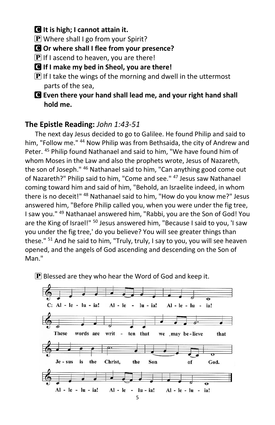C **It is high; I cannot attain it.** 

 $\bf{P}$  Where shall I go from your Spirit?

C **Or where shall I flee from your presence?** 

 $\mathbf{P}$  If I ascend to heaven, you are there!

C **If I make my bed in Sheol, you are there!** 

 $\bf{P}$  If I take the wings of the morning and dwell in the uttermost parts of the sea,

C **Even there your hand shall lead me, and your right hand shall hold me.**

# **The Epistle Reading:** *John 1:43-51*

The next day Jesus decided to go to Galilee. He found Philip and said to him, "Follow me." <sup>44</sup> Now Philip was from Bethsaida, the city of Andrew and Peter. <sup>45</sup> Philip found Nathanael and said to him, "We have found him of whom Moses in the Law and also the prophets wrote, Jesus of Nazareth, the son of Joseph." <sup>46</sup> Nathanael said to him, "Can anything good come out of Nazareth?" Philip said to him, "Come and see." <sup>47</sup> Jesus saw Nathanael coming toward him and said of him, "Behold, an Israelite indeed, in whom there is no deceit!" <sup>48</sup> Nathanael said to him, "How do you know me?" Jesus answered him, "Before Philip called you, when you were under the fig tree, I saw you." <sup>49</sup> Nathanael answered him, "Rabbi, you are the Son of God! You are the King of Israel!" <sup>50</sup> Jesus answered him, "Because I said to you, 'I saw you under the fig tree,' do you believe? You will see greater things than these." <sup>51</sup> And he said to him, "Truly, truly, I say to you, you will see heaven opened, and the angels of God ascending and descending on the Son of Man."

 $\mathbf P$  Blessed are they who hear the Word of God and keep it.

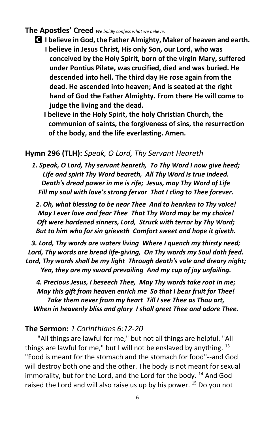#### **The Apostles' Creed** *We boldly confess what we believe.*

- C **I believe in God, the Father Almighty, Maker of heaven and earth. I believe in Jesus Christ, His only Son, our Lord, who was conceived by the Holy Spirit, born of the virgin Mary, suffered under Pontius Pilate, was crucified, died and was buried. He descended into hell. The third day He rose again from the dead. He ascended into heaven; And is seated at the right hand of God the Father Almighty. From there He will come to judge the living and the dead.**
	- **I believe in the Holy Spirit, the holy Christian Church, the communion of saints, the forgiveness of sins, the resurrection of the body, and the life everlasting. Amen.**

## **Hymn 296 (TLH):** *Speak, O Lord, Thy Servant Heareth*

*1. Speak, O Lord, Thy servant heareth, To Thy Word I now give heed; Life and spirit Thy Word beareth, All Thy Word is true indeed. Death's dread power in me is rife; Jesus, may Thy Word of Life Fill my soul with love's strong fervor That I cling to Thee forever.* 

*2. Oh, what blessing to be near Thee And to hearken to Thy voice! May I ever love and fear Thee That Thy Word may be my choice! Oft were hardened sinners, Lord, Struck with terror by Thy Word; But to him who for sin grieveth Comfort sweet and hope it giveth.* 

*3. Lord, Thy words are waters living Where I quench my thirsty need; Lord, Thy words are bread life-giving, On Thy words my Soul doth feed. Lord, Thy words shall be my light Through death's vale and dreary night; Yea, they are my sword prevailing And my cup of joy unfailing.* 

*4. Precious Jesus, I beseech Thee, May Thy words take root in me; May this gift from heaven enrich me So that I bear fruit for Thee! Take them never from my heart Till I see Thee as Thou art, When in heavenly bliss and glory I shall greet Thee and adore Thee.*

### **The Sermon:** *1 Corinthians 6:12-20*

"All things are lawful for me," but not all things are helpful. "All things are lawful for me," but I will not be enslaved by anything.  $13$ "Food is meant for the stomach and the stomach for food"--and God will destroy both one and the other. The body is not meant for sexual immorality, but for the Lord, and the Lord for the body.<sup>14</sup> And God raised the Lord and will also raise us up by his power. <sup>15</sup> Do you not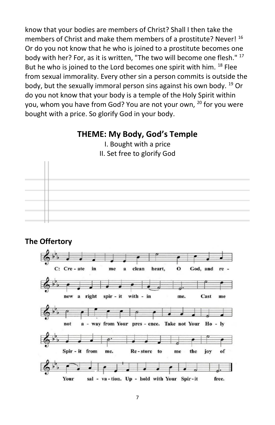know that your bodies are members of Christ? Shall I then take the members of Christ and make them members of a prostitute? Never! <sup>16</sup> Or do you not know that he who is joined to a prostitute becomes one body with her? For, as it is written, "The two will become one flesh." <sup>17</sup> But he who is joined to the Lord becomes one spirit with him. <sup>18</sup> Flee from sexual immorality. Every other sin a person commits is outside the body, but the sexually immoral person sins against his own body.  $^{19}$  Or do you not know that your body is a temple of the Holy Spirit within you, whom you have from God? You are not your own, <sup>20</sup> for you were bought with a price. So glorify God in your body.

## **THEME: My Body, God's Temple**



I. Bought with a price II. Set free to glorify God

### **The Offertory**

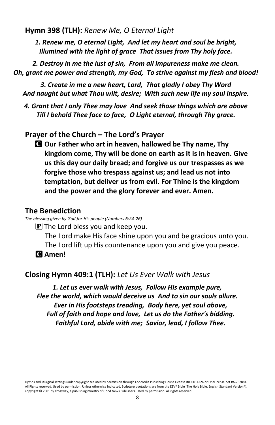**Hymn 398 (TLH):** *Renew Me, O Eternal Light*

*1. Renew me, O eternal Light, And let my heart and soul be bright, Illumined with the light of grace That issues from Thy holy face.* 

*2. Destroy in me the lust of sin, From all impureness make me clean. Oh, grant me power and strength, my God, To strive against my flesh and blood!* 

*3. Create in me a new heart, Lord, That gladly I obey Thy Word And naught but what Thou wilt, desire; With such new life my soul inspire.* 

*4. Grant that I only Thee may love And seek those things which are above Till I behold Thee face to face, O Light eternal, through Thy grace.*

### **Prayer of the Church – The Lord's Prayer**

C **Our Father who art in heaven, hallowed be Thy name, Thy kingdom come, Thy will be done on earth as it is in heaven. Give us this day our daily bread; and forgive us our trespasses as we forgive those who trespass against us; and lead us not into temptation, but deliver us from evil. For Thine is the kingdom and the power and the glory forever and ever. Amen.**

#### **The Benediction**

*The blessing given by God for His people (Numbers 6:24-26)*

 $\left[\mathbf{P}\right]$  The Lord bless you and keep you.

The Lord make His face shine upon you and be gracious unto you. The Lord lift up His countenance upon you and give you peace.

C **Amen!** 

## **Closing Hymn 409:1 (TLH):** *Let Us Ever Walk with Jesus*

*1. Let us ever walk with Jesus, Follow His example pure, Flee the world, which would deceive us And to sin our souls allure. Ever in His footsteps treading, Body here, yet soul above, Full of faith and hope and love, Let us do the Father's bidding. Faithful Lord, abide with me; Savior, lead, I follow Thee.*

Hymns and liturgical settings under copyright are used by permission through Concordia Publishing House License #000014224 or OneLicense.net #A-732884. All Rights reserved. Used by permission. Unless otherwise indicated, Scripture quotations are from the ESV® Bible (The Holy Bible, English Standard Version®), copyright © 2001 by Crossway, a publishing ministry of Good News Publishers. Used by permission. All rights reserved.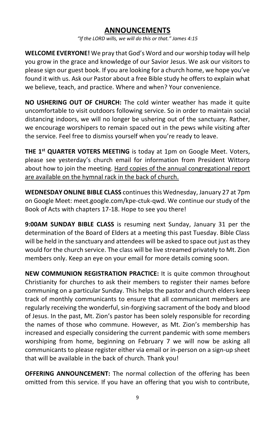## **ANNOUNCEMENTS**

*"If the LORD wills, we will do this or that." James 4:15*

**WELCOME EVERYONE!** We pray that God's Word and our worship today will help you grow in the grace and knowledge of our Savior Jesus. We ask our visitors to please sign our guest book. If you are looking for a church home, we hope you've found it with us. Ask our Pastor about a free Bible study he offers to explain what we believe, teach, and practice. Where and when? Your convenience.

**NO USHERING OUT OF CHURCH:** The cold winter weather has made it quite uncomfortable to visit outdoors following service. So in order to maintain social distancing indoors, we will no longer be ushering out of the sanctuary. Rather, we encourage worshipers to remain spaced out in the pews while visiting after the service. Feel free to dismiss yourself when you're ready to leave.

**THE 1st QUARTER VOTERS MEETING** is today at 1pm on Google Meet. Voters, please see yesterday's church email for information from President Wittorp about how to join the meeting. Hard copies of the annual congregational report are available on the hymnal rack in the back of church.

**WEDNESDAY ONLINE BIBLE CLASS** continuesthis Wednesday, January 27 at 7pm on Google Meet: meet.google.com/kpe-ctuk-qwd. We continue our study of the Book of Acts with chapters 17-18. Hope to see you there!

**9:00AM SUNDAY BIBLE CLASS** is resuming next Sunday, January 31 per the determination of the Board of Elders at a meeting this past Tuesday. Bible Class will be held in the sanctuary and attendees will be asked to space out just as they would for the church service. The class will be live streamed privately to Mt. Zion members only. Keep an eye on your email for more details coming soon.

**NEW COMMUNION REGISTRATION PRACTICE:** It is quite common throughout Christianity for churches to ask their members to register their names before communing on a particular Sunday. This helps the pastor and church elders keep track of monthly communicants to ensure that all communicant members are regularly receiving the wonderful, sin-forgiving sacrament of the body and blood of Jesus. In the past, Mt. Zion's pastor has been solely responsible for recording the names of those who commune. However, as Mt. Zion's membership has increased and especially considering the current pandemic with some members worshiping from home, beginning on February 7 we will now be asking all communicants to please register either via email or in-person on a sign-up sheet that will be available in the back of church. Thank you!

**OFFERING ANNOUNCEMENT:** The normal collection of the offering has been omitted from this service. If you have an offering that you wish to contribute,